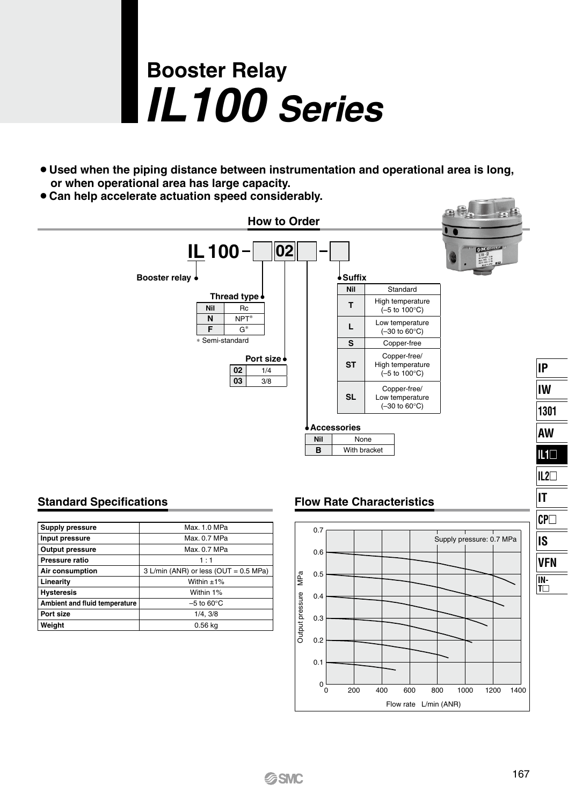# **Booster Relay** *IL100 Series*

- ¡**Used when the piping distance between instrumentation and operational area is long, or when operational area has large capacity.**
- ¡**Can help accelerate actuation speed considerably.**



| Supply pressure               | Max. 1.0 MPa                          |  |
|-------------------------------|---------------------------------------|--|
| Input pressure                | Max. 0.7 MPa                          |  |
| Output pressure               | Max. 0.7 MPa                          |  |
| Pressure ratio                | 1:1                                   |  |
| Air consumption               | 3 L/min (ANR) or less (OUT = 0.5 MPa) |  |
| Linearity                     | Within $+1\%$                         |  |
| <b>Hysteresis</b>             | Within 1%                             |  |
| Ambient and fluid temperature | $-5$ to 60 $\mathrm{^{\circ}C}$       |  |
| Port size                     | 1/4.3/8                               |  |
| Weight                        | 0.56 kg                               |  |

#### **Standard Specifications Flow Rate Characteristics**



**IL2 IT**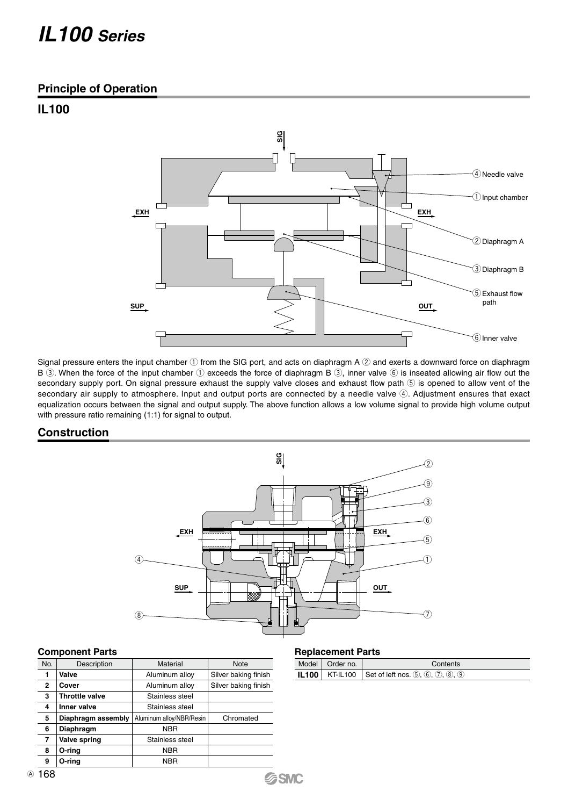## *IL100 Series*

#### **Principle of Operation**

### **IL100**



Signal pressure enters the input chamber  $\mathbb O$  from the SIG port, and acts on diaphragm A  $\oslash$  and exerts a downward force on diaphragm B  $(3)$ . When the force of the input chamber  $(1)$  exceeds the force of diaphragm B  $(3)$ , inner valve  $(6)$  is inseated allowing air flow out the secondary supply port. On signal pressure exhaust the supply valve closes and exhaust flow path  $\circledS$  is opened to allow vent of the secondary air supply to atmosphere. Input and output ports are connected by a needle valve 4. Adjustment ensures that exact equalization occurs between the signal and output supply. The above function allows a low volume signal to provide high volume output with pressure ratio remaining (1:1) for signal to output.

#### **Construction**



**SSMC** 

#### **Component Parts**

| No. | Description           | Material                 | <b>Note</b>          |
|-----|-----------------------|--------------------------|----------------------|
| 1   | Valve                 | Aluminum alloy           | Silver baking finish |
| 2   | Cover                 | Aluminum alloy           | Silver baking finish |
| 3   | <b>Throttle valve</b> | Stainless steel          |                      |
| 4   | Inner valve           | Stainless steel          |                      |
| 5   | Diaphragm assembly    | Aluminum alloy/NBR/Resin | Chromated            |
| 6   | Diaphragm             | <b>NBR</b>               |                      |
| 7   | Valve spring          | Stainless steel          |                      |
| 8   | O-ring                | <b>NBR</b>               |                      |
| 9   | O-ring                | <b>NBR</b>               |                      |

#### **Replacement Parts**

| Model   Order no. | Contents                                                            |
|-------------------|---------------------------------------------------------------------|
|                   | <b>IL100</b>   KT-IL100   Set of left nos. $(5, (6), (7), (8), (9)$ |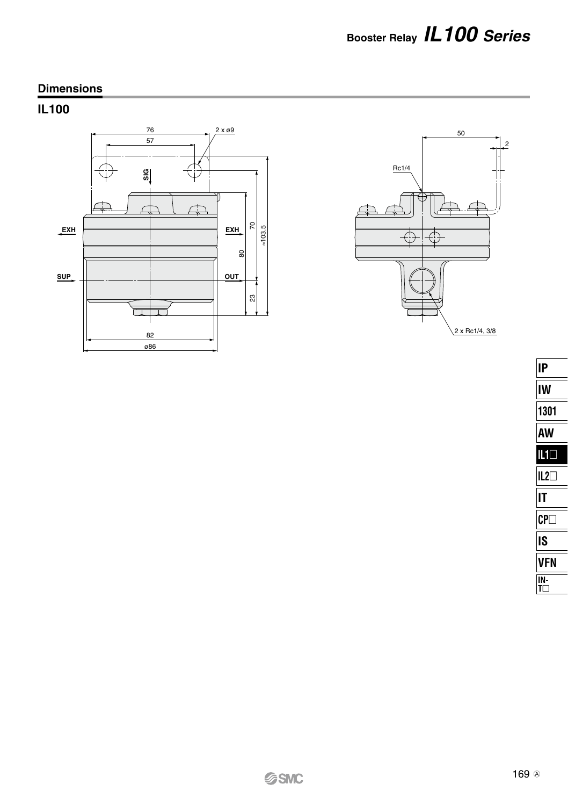## **Dimensions**

## **IL100**





| I۴                         |
|----------------------------|
| IW                         |
| 1301                       |
| AW                         |
| $IL1\square$               |
| $IL2\Box$                  |
| ΙT                         |
| $\mathsf{C}\mathsf{P}\Box$ |
| IS                         |
| VFN                        |
| N-                         |
|                            |